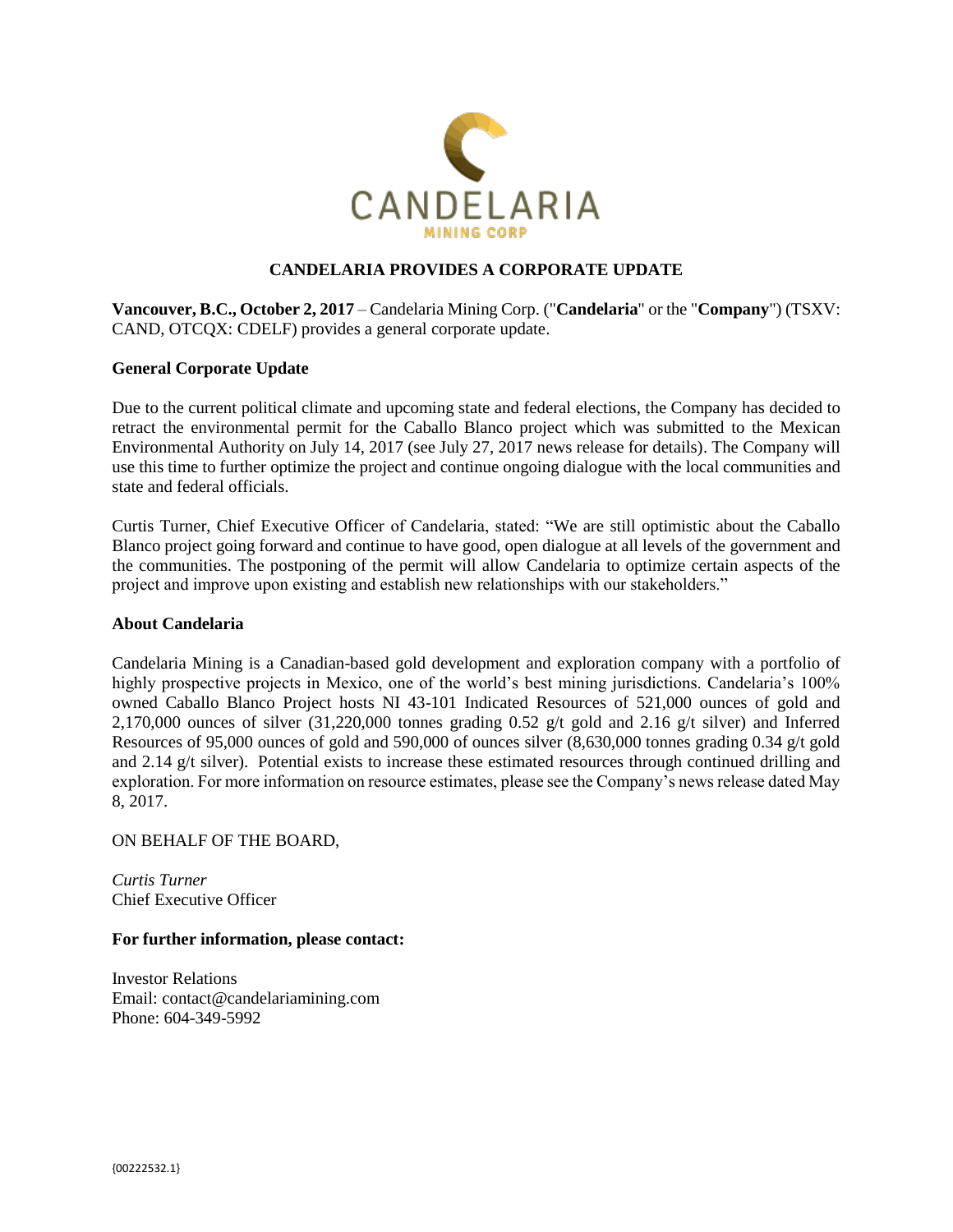

# **CANDELARIA PROVIDES A CORPORATE UPDATE**

**Vancouver, B.C., October 2, 2017** – Candelaria Mining Corp. ("**Candelaria**" or the "**Company**") (TSXV: CAND, OTCQX: CDELF) provides a general corporate update.

## **General Corporate Update**

Due to the current political climate and upcoming state and federal elections, the Company has decided to retract the environmental permit for the Caballo Blanco project which was submitted to the Mexican Environmental Authority on July 14, 2017 (see July 27, 2017 news release for details). The Company will use this time to further optimize the project and continue ongoing dialogue with the local communities and state and federal officials.

Curtis Turner, Chief Executive Officer of Candelaria, stated: "We are still optimistic about the Caballo Blanco project going forward and continue to have good, open dialogue at all levels of the government and the communities. The postponing of the permit will allow Candelaria to optimize certain aspects of the project and improve upon existing and establish new relationships with our stakeholders."

## **About Candelaria**

Candelaria Mining is a Canadian-based gold development and exploration company with a portfolio of highly prospective projects in Mexico, one of the world's best mining jurisdictions. Candelaria's 100% owned Caballo Blanco Project hosts NI 43-101 Indicated Resources of 521,000 ounces of gold and 2,170,000 ounces of silver  $(31,220,000)$  tonnes grading 0.52 g/t gold and 2.16 g/t silver) and Inferred Resources of 95,000 ounces of gold and 590,000 of ounces silver (8,630,000 tonnes grading 0.34 g/t gold and 2.14 g/t silver). Potential exists to increase these estimated resources through continued drilling and exploration. For more information on resource estimates, please see the Company's news release dated May 8, 2017.

### ON BEHALF OF THE BOARD,

*Curtis Turner* Chief Executive Officer

### **For further information, please contact:**

Investor Relations Email: [contact@candelariamining.com](mailto:contact@candelariamining.com) Phone: 604-349-5992